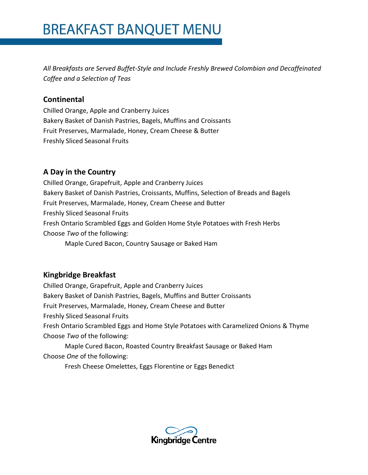*All Breakfasts are Served Buffet-Style and Include Freshly Brewed Colombian and Decaffeinated Coffee and a Selection of Teas*

#### **Continental**

Chilled Orange, Apple and Cranberry Juices Bakery Basket of Danish Pastries, Bagels, Muffins and Croissants Fruit Preserves, Marmalade, Honey, Cream Cheese & Butter Freshly Sliced Seasonal Fruits

## **A Day in the Country**

Chilled Orange, Grapefruit, Apple and Cranberry Juices Bakery Basket of Danish Pastries, Croissants, Muffins, Selection of Breads and Bagels Fruit Preserves, Marmalade, Honey, Cream Cheese and Butter Freshly Sliced Seasonal Fruits Fresh Ontario Scrambled Eggs and Golden Home Style Potatoes with Fresh Herbs Choose *Two* of the following: Maple Cured Bacon, Country Sausage or Baked Ham

## **Kingbridge Breakfast**

Chilled Orange, Grapefruit, Apple and Cranberry Juices Bakery Basket of Danish Pastries, Bagels, Muffins and Butter Croissants Fruit Preserves, Marmalade, Honey, Cream Cheese and Butter Freshly Sliced Seasonal Fruits Fresh Ontario Scrambled Eggs and Home Style Potatoes with Caramelized Onions & Thyme Choose *Two* of the following: Maple Cured Bacon, Roasted Country Breakfast Sausage or Baked Ham

Choose *One* of the following:

Fresh Cheese Omelettes, Eggs Florentine or Eggs Benedict